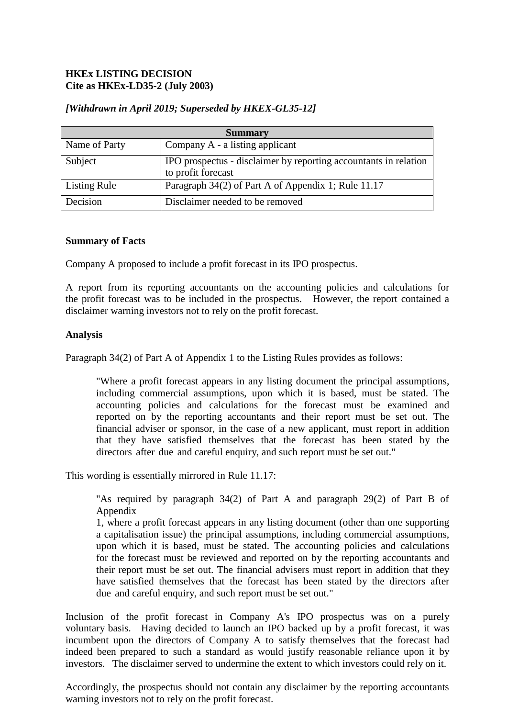# **HKEx LISTING DECISION Cite as HKEx-LD35-2 (July 2003)**

| <b>Summary</b>      |                                                                                        |
|---------------------|----------------------------------------------------------------------------------------|
| Name of Party       | Company A - a listing applicant                                                        |
| Subject             | IPO prospectus - disclaimer by reporting accountants in relation<br>to profit forecast |
| <b>Listing Rule</b> | Paragraph 34(2) of Part A of Appendix 1; Rule 11.17                                    |
| Decision            | Disclaimer needed to be removed                                                        |

## *[Withdrawn in April 2019; Superseded by HKEX-GL35-12]*

#### **Summary of Facts**

Company A proposed to include a profit forecast in its IPO prospectus.

A report from its reporting accountants on the accounting policies and calculations for the profit forecast was to be included in the prospectus. However, the report contained a disclaimer warning investors not to rely on the profit forecast.

## **Analysis**

Paragraph 34(2) of Part A of Appendix 1 to the Listing Rules provides as follows:

"Where a profit forecast appears in any listing document the principal assumptions, including commercial assumptions, upon which it is based, must be stated. The accounting policies and calculations for the forecast must be examined and reported on by the reporting accountants and their report must be set out. The financial adviser or sponsor, in the case of a new applicant, must report in addition that they have satisfied themselves that the forecast has been stated by the directors after due and careful enquiry, and such report must be set out."

This wording is essentially mirrored in Rule 11.17:

"As required by paragraph 34(2) of Part A and paragraph 29(2) of Part B of Appendix

1, where a profit forecast appears in any listing document (other than one supporting a capitalisation issue) the principal assumptions, including commercial assumptions, upon which it is based, must be stated. The accounting policies and calculations for the forecast must be reviewed and reported on by the reporting accountants and their report must be set out. The financial advisers must report in addition that they have satisfied themselves that the forecast has been stated by the directors after due and careful enquiry, and such report must be set out."

Inclusion of the profit forecast in Company A's IPO prospectus was on a purely voluntary basis. Having decided to launch an IPO backed up by a profit forecast, it was incumbent upon the directors of Company A to satisfy themselves that the forecast had indeed been prepared to such a standard as would justify reasonable reliance upon it by investors. The disclaimer served to undermine the extent to which investors could rely on it.

Accordingly, the prospectus should not contain any disclaimer by the reporting accountants warning investors not to rely on the profit forecast.